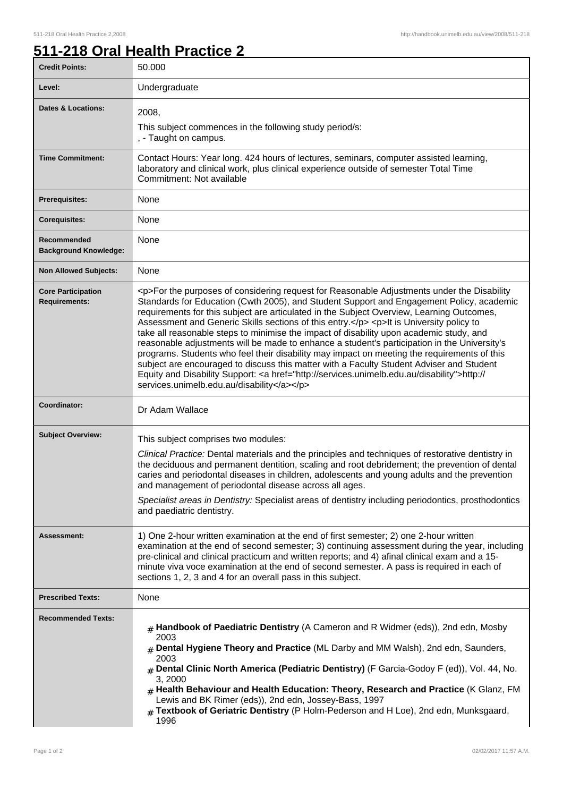## **511-218 Oral Health Practice 2**

| <b>Credit Points:</b>                             | 50.000                                                                                                                                                                                                                                                                                                                                                                                                                                                                                                                                                                                                                                                                                                                                                                                                                                                                                                                       |
|---------------------------------------------------|------------------------------------------------------------------------------------------------------------------------------------------------------------------------------------------------------------------------------------------------------------------------------------------------------------------------------------------------------------------------------------------------------------------------------------------------------------------------------------------------------------------------------------------------------------------------------------------------------------------------------------------------------------------------------------------------------------------------------------------------------------------------------------------------------------------------------------------------------------------------------------------------------------------------------|
| Level:                                            | Undergraduate                                                                                                                                                                                                                                                                                                                                                                                                                                                                                                                                                                                                                                                                                                                                                                                                                                                                                                                |
| <b>Dates &amp; Locations:</b>                     | 2008,                                                                                                                                                                                                                                                                                                                                                                                                                                                                                                                                                                                                                                                                                                                                                                                                                                                                                                                        |
|                                                   | This subject commences in the following study period/s:<br>, - Taught on campus.                                                                                                                                                                                                                                                                                                                                                                                                                                                                                                                                                                                                                                                                                                                                                                                                                                             |
| <b>Time Commitment:</b>                           | Contact Hours: Year long. 424 hours of lectures, seminars, computer assisted learning,<br>laboratory and clinical work, plus clinical experience outside of semester Total Time<br>Commitment: Not available                                                                                                                                                                                                                                                                                                                                                                                                                                                                                                                                                                                                                                                                                                                 |
| <b>Prerequisites:</b>                             | None                                                                                                                                                                                                                                                                                                                                                                                                                                                                                                                                                                                                                                                                                                                                                                                                                                                                                                                         |
| <b>Corequisites:</b>                              | None                                                                                                                                                                                                                                                                                                                                                                                                                                                                                                                                                                                                                                                                                                                                                                                                                                                                                                                         |
| Recommended<br><b>Background Knowledge:</b>       | None                                                                                                                                                                                                                                                                                                                                                                                                                                                                                                                                                                                                                                                                                                                                                                                                                                                                                                                         |
| <b>Non Allowed Subjects:</b>                      | None                                                                                                                                                                                                                                                                                                                                                                                                                                                                                                                                                                                                                                                                                                                                                                                                                                                                                                                         |
| <b>Core Participation</b><br><b>Requirements:</b> | <p>For the purposes of considering request for Reasonable Adjustments under the Disability<br/>Standards for Education (Cwth 2005), and Student Support and Engagement Policy, academic<br/>requirements for this subject are articulated in the Subject Overview, Learning Outcomes,<br/>Assessment and Generic Skills sections of this entry.</p> <p>lt is University policy to<br/>take all reasonable steps to minimise the impact of disability upon academic study, and<br/>reasonable adjustments will be made to enhance a student's participation in the University's<br/>programs. Students who feel their disability may impact on meeting the requirements of this<br/>subject are encouraged to discuss this matter with a Faculty Student Adviser and Student<br/>Equity and Disability Support: &lt; a href="http://services.unimelb.edu.au/disability"&gt;http://<br/>services.unimelb.edu.au/disability</p> |
| Coordinator:                                      | Dr Adam Wallace                                                                                                                                                                                                                                                                                                                                                                                                                                                                                                                                                                                                                                                                                                                                                                                                                                                                                                              |
| <b>Subject Overview:</b>                          | This subject comprises two modules:<br>Clinical Practice: Dental materials and the principles and techniques of restorative dentistry in<br>the deciduous and permanent dentition, scaling and root debridement; the prevention of dental<br>caries and periodontal diseases in children, adolescents and young adults and the prevention<br>and management of periodontal disease across all ages.<br>Specialist areas in Dentistry: Specialist areas of dentistry including periodontics, prosthodontics<br>and paediatric dentistry.                                                                                                                                                                                                                                                                                                                                                                                      |
| <b>Assessment:</b>                                | 1) One 2-hour written examination at the end of first semester; 2) one 2-hour written<br>examination at the end of second semester; 3) continuing assessment during the year, including<br>pre-clinical and clinical practicum and written reports; and 4) afinal clinical exam and a 15-<br>minute viva voce examination at the end of second semester. A pass is required in each of<br>sections 1, 2, 3 and 4 for an overall pass in this subject.                                                                                                                                                                                                                                                                                                                                                                                                                                                                        |
| <b>Prescribed Texts:</b>                          | None                                                                                                                                                                                                                                                                                                                                                                                                                                                                                                                                                                                                                                                                                                                                                                                                                                                                                                                         |
| <b>Recommended Texts:</b>                         | Handbook of Paediatric Dentistry (A Cameron and R Widmer (eds)), 2nd edn, Mosby<br>2003<br>$#$ Dental Hygiene Theory and Practice (ML Darby and MM Walsh), 2nd edn, Saunders,<br>2003<br># Dental Clinic North America (Pediatric Dentistry) (F Garcia-Godoy F (ed)), Vol. 44, No.<br>3,2000<br>$_{\#}$ Health Behaviour and Health Education: Theory, Research and Practice (K Glanz, FM<br>Lewis and BK Rimer (eds)), 2nd edn, Jossey-Bass, 1997<br># Textbook of Geriatric Dentistry (P Holm-Pederson and H Loe), 2nd edn, Munksgaard,<br>1996                                                                                                                                                                                                                                                                                                                                                                            |